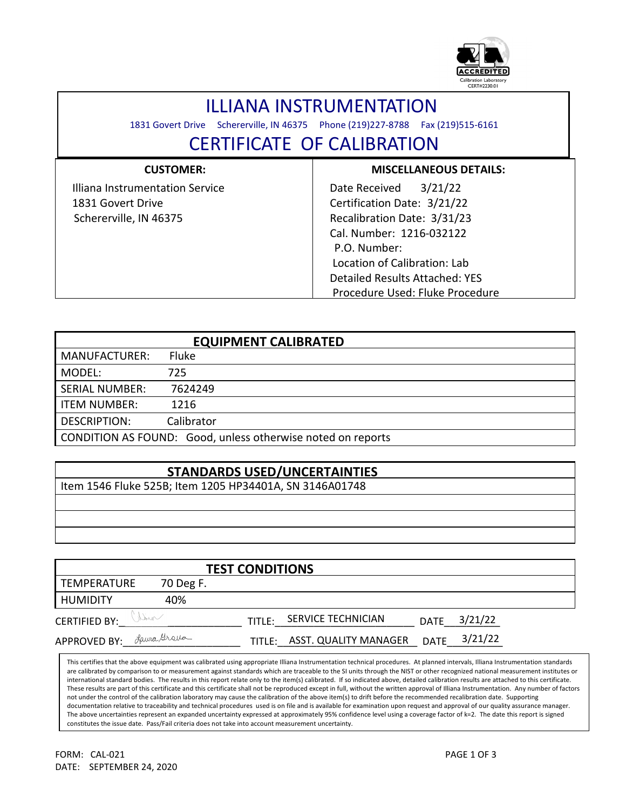

## ILLIANA INSTRUMENTATION

1831 Govert Drive Schererville, IN 46375 Phone (219)227-8788 Fax (219)515-6161

## CERTIFICATE OF CALIBRATION

| <b>CUSTOMER:</b>                | <b>MISCELLANEOUS DETAILS:</b>         |
|---------------------------------|---------------------------------------|
| Illiana Instrumentation Service | 3/21/22<br>Date Received              |
| 1831 Govert Drive               | Certification Date: 3/21/22           |
| Schererville, IN 46375          | Recalibration Date: 3/31/23           |
|                                 | Cal. Number: 1216-032122              |
|                                 | P.O. Number:                          |
|                                 | Location of Calibration: Lab          |
|                                 | <b>Detailed Results Attached: YES</b> |
|                                 | Procedure Used: Fluke Procedure       |

| <b>EQUIPMENT CALIBRATED</b> |                                                             |  |  |  |
|-----------------------------|-------------------------------------------------------------|--|--|--|
| <b>MANUFACTURER:</b>        | Fluke                                                       |  |  |  |
| MODEL:                      | 725                                                         |  |  |  |
| <b>SERIAL NUMBER:</b>       | 7624249                                                     |  |  |  |
| <b>ITEM NUMBER:</b>         | 1216                                                        |  |  |  |
| <b>DESCRIPTION:</b>         | Calibrator                                                  |  |  |  |
|                             | CONDITION AS FOUND: Good, unless otherwise noted on reports |  |  |  |

## **STANDARDS USED/UNCERTAINTIES**

Item 1546 Fluke 525B; Item 1205 HP34401A, SN 3146A01748

| <b>TEST CONDITIONS</b> |             |        |                       |             |         |  |  |  |
|------------------------|-------------|--------|-----------------------|-------------|---------|--|--|--|
| TEMPERATURE            | 70 Deg F.   |        |                       |             |         |  |  |  |
| <b>HUMIDITY</b>        | 40%         |        |                       |             |         |  |  |  |
| <b>CERTIFIED BY:</b>   | Vine        | TITIF: | SERVICE TECHNICIAN    | <b>DATE</b> | 3/21/22 |  |  |  |
| <b>APPROVED BY:</b>    | faura Greva | TITLE: | ASST. QUALITY MANAGER | <b>DATE</b> | 3/21/22 |  |  |  |

This certifies that the above equipment was calibrated using appropriate Illiana Instrumentation technical procedures. At planned intervals, Illiana Instrumentation standards are calibrated by comparison to or measurement against standards which are traceable to the SI units through the NIST or other recognized national measurement institutes or international standard bodies. The results in this report relate only to the item(s) calibrated. If so indicated above, detailed calibration results are attached to this certificate. These results are part of this certificate and this certificate shall not be reproduced except in full, without the written approval of Illiana Instrumentation. Any number of factors not under the control of the calibration laboratory may cause the calibration of the above item(s) to drift before the recommended recalibration date. Supporting documentation relative to traceability and technical procedures used is on file and is available for examination upon request and approval of our quality assurance manager. The above uncertainties represent an expanded uncertainty expressed at approximately 95% confidence level using a coverage factor of k=2. The date this report is signed constitutes the issue date. Pass/Fail criteria does not take into account measurement uncertainty.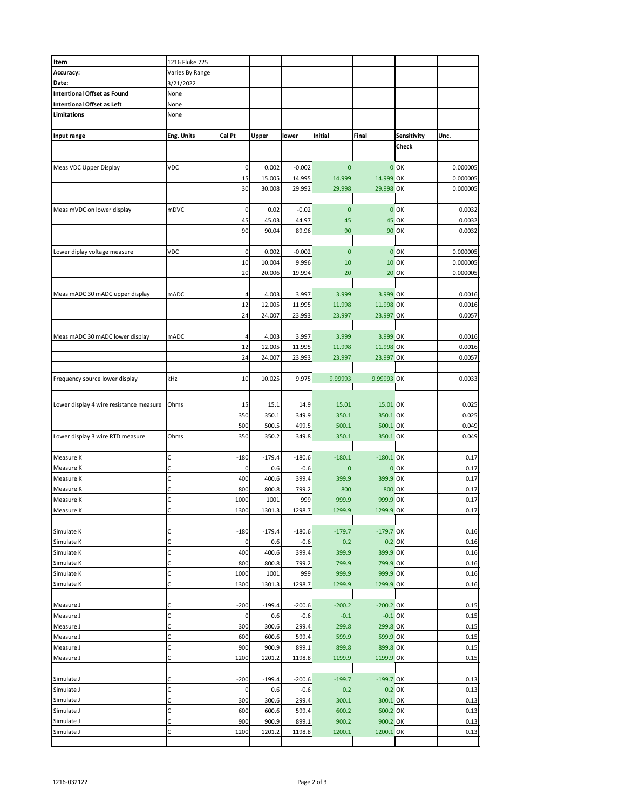| Item                                    | 1216 Fluke 725  |        |          |          |              |             |              |          |
|-----------------------------------------|-----------------|--------|----------|----------|--------------|-------------|--------------|----------|
| Accuracy:                               | Varies By Range |        |          |          |              |             |              |          |
| Date:                                   | 3/21/2022       |        |          |          |              |             |              |          |
| <b>Intentional Offset as Found</b>      | None            |        |          |          |              |             |              |          |
| <b>Intentional Offset as Left</b>       | None            |        |          |          |              |             |              |          |
| Limitations                             | None            |        |          |          |              |             |              |          |
|                                         |                 |        |          |          |              |             |              |          |
|                                         |                 |        |          |          |              |             |              |          |
| Input range                             | Eng. Units      | Cal Pt | Upper    | lower    | Initial      | Final       | Sensitivity  | Unc.     |
|                                         |                 |        |          |          |              |             | Check        |          |
|                                         |                 |        |          |          |              |             |              |          |
| Meas VDC Upper Display                  | VDC             | 0      | 0.002    | $-0.002$ | $\mathbf{0}$ |             | $0$ OK       | 0.000005 |
|                                         |                 | 15     | 15.005   | 14.995   | 14.999       | 14.999 OK   |              | 0.000005 |
|                                         |                 |        |          |          |              |             |              |          |
|                                         |                 | 30     | 30.008   | 29.992   | 29.998       | 29.998 OK   |              | 0.000005 |
|                                         |                 |        |          |          |              |             |              |          |
| Meas mVDC on lower display              | mDVC            | 0      | 0.02     | $-0.02$  | $\mathbf{0}$ |             | $0$ OK       | 0.0032   |
|                                         |                 | 45     | 45.03    | 44.97    | 45           |             | <b>45 OK</b> | 0.0032   |
|                                         |                 | 90     | 90.04    | 89.96    | 90           |             | <b>90 OK</b> | 0.0032   |
|                                         |                 |        |          |          |              |             |              |          |
|                                         |                 |        |          |          |              |             |              |          |
| Lower diplay voltage measure            | VDC             | 0      | 0.002    | $-0.002$ | $\bf{0}$     |             | $0$ OK       | 0.000005 |
|                                         |                 | 10     | 10.004   | 9.996    | 10           |             | <b>10 OK</b> | 0.000005 |
|                                         |                 | 20     | 20.006   | 19.994   | 20           |             | <b>20 OK</b> | 0.000005 |
|                                         |                 |        |          |          |              |             |              |          |
| Meas mADC 30 mADC upper display         | mADC            | 4      | 4.003    | 3.997    | 3.999        | 3.999 OK    |              | 0.0016   |
|                                         |                 |        |          |          |              |             |              |          |
|                                         |                 | 12     | 12.005   | 11.995   | 11.998       | 11.998 OK   |              | 0.0016   |
|                                         |                 | 24     | 24.007   | 23.993   | 23.997       | 23.997 OK   |              | 0.0057   |
|                                         |                 |        |          |          |              |             |              |          |
| Meas mADC 30 mADC lower display         | mADC            | 4      | 4.003    | 3.997    | 3.999        | 3.999 OK    |              | 0.0016   |
|                                         |                 | 12     | 12.005   | 11.995   | 11.998       | 11.998 OK   |              | 0.0016   |
|                                         |                 | 24     |          |          |              | 23.997 OK   |              | 0.0057   |
|                                         |                 |        | 24.007   | 23.993   | 23.997       |             |              |          |
|                                         |                 |        |          |          |              |             |              |          |
| Frequency source lower display          | kHz             | 10     | 10.025   | 9.975    | 9.99993      | 9.99993 OK  |              | 0.0033   |
|                                         |                 |        |          |          |              |             |              |          |
|                                         |                 |        |          |          |              |             |              |          |
| Lower display 4 wire resistance measure | Ohms            | 15     | 15.1     | 14.9     | 15.01        | 15.01 OK    |              | 0.025    |
|                                         |                 | 350    | 350.1    | 349.9    | 350.1        | 350.1 OK    |              | 0.025    |
|                                         |                 | 500    | 500.5    | 499.5    | 500.1        | 500.1 OK    |              | 0.049    |
| Lower display 3 wire RTD measure        | Ohms            | 350    | 350.2    | 349.8    | 350.1        | 350.1 OK    |              | 0.049    |
|                                         |                 |        |          |          |              |             |              |          |
|                                         |                 |        |          |          |              |             |              |          |
| Measure K                               | С               | $-180$ | $-179.4$ | $-180.6$ | $-180.1$     | $-180.1$ OK |              | 0.17     |
| Measure K                               | C               | 0      | 0.6      | $-0.6$   | $\mathbf{0}$ |             | $0$ OK       | 0.17     |
| Measure K                               | С               | 400    | 400.6    | 399.4    | 399.9        | 399.9 OK    |              | 0.17     |
| Measure K                               | С               | 800    | 800.8    | 799.2    | 800          | 800 OK      |              | 0.17     |
| Measure K                               | C               | 1000   | 1001     | 999      | 999.9        | 999.9 OK    |              | 0.17     |
| Measure K                               | C               | 1300   | 1301.3   | 1298.7   | 1299.9       | 1299.9 OK   |              | 0.17     |
|                                         |                 |        |          |          |              |             |              |          |
|                                         |                 |        |          |          |              |             |              |          |
| Simulate K                              | с               | $-180$ | $-179.4$ | $-180.6$ | $-179.7$     | $-179.7$ OK |              | 0.16     |
| Simulate K                              | C               | 0      | 0.6      | $-0.6$   | 0.2          |             | 0.2 OK       | 0.16     |
| Simulate K                              | C               | 400    | 400.6    | 399.4    | 399.9        | 399.9 OK    |              | 0.16     |
| Simulate K                              | С               | 800    | 800.8    | 799.2    | 799.9        | 799.9 OK    |              | 0.16     |
| Simulate K                              | C               | 1000   | 1001     | 999      | 999.9        |             |              | 0.16     |
|                                         |                 |        |          |          |              | 999.9 OK    |              |          |
| Simulate K                              | C               | 1300   | 1301.3   | 1298.7   | 1299.9       | 1299.9 OK   |              | 0.16     |
|                                         |                 |        |          |          |              |             |              |          |
| Measure J                               | С               | $-200$ | $-199.4$ | $-200.6$ | $-200.2$     | $-200.2$ OK |              | 0.15     |
| Measure J                               | C               | 0      | 0.6      | $-0.6$   | $-0.1$       | $-0.1$ OK   |              | 0.15     |
| Measure J                               | C               | 300    | 300.6    | 299.4    | 299.8        | 299.8 OK    |              | 0.15     |
| Measure J                               | С               | 600    | 600.6    | 599.4    | 599.9        | 599.9 OK    |              | 0.15     |
|                                         |                 |        |          |          |              |             |              |          |
| Measure J                               | C               | 900    | 900.9    | 899.1    | 899.8        | 899.8 OK    |              | 0.15     |
| Measure J                               | С               | 1200   | 1201.2   | 1198.8   | 1199.9       | 1199.9 OK   |              | 0.15     |
|                                         |                 |        |          |          |              |             |              |          |
| Simulate J                              | С               | $-200$ | $-199.4$ | $-200.6$ | $-199.7$     | $-199.7$ OK |              | 0.13     |
| Simulate J                              | C               | 0      | 0.6      | $-0.6$   | 0.2          |             | 0.2 OK       | 0.13     |
|                                         |                 |        |          |          |              |             |              |          |
| Simulate J                              | C               | 300    | 300.6    | 299.4    | 300.1        | 300.1 OK    |              | 0.13     |
| Simulate J                              | C               | 600    | 600.6    | 599.4    | 600.2        | 600.2 OK    |              | 0.13     |
| Simulate J                              | C               | 900    | 900.9    | 899.1    | 900.2        | 900.2 OK    |              | 0.13     |
| Simulate J                              | С               | 1200   | 1201.2   | 1198.8   | 1200.1       | 1200.1 OK   |              | 0.13     |
|                                         |                 |        |          |          |              |             |              |          |